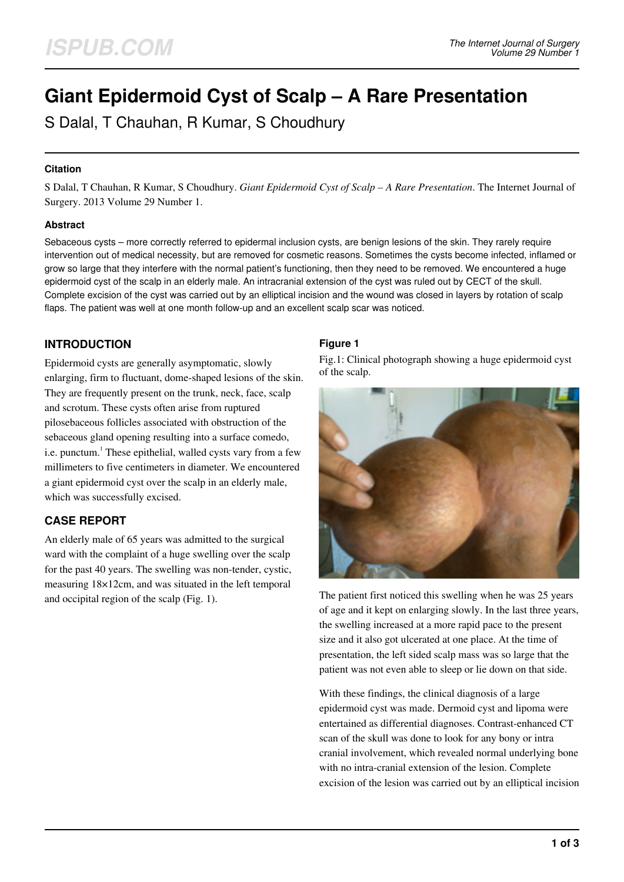# **Giant Epidermoid Cyst of Scalp – A Rare Presentation**

S Dalal, T Chauhan, R Kumar, S Choudhury

### **Citation**

S Dalal, T Chauhan, R Kumar, S Choudhury. *Giant Epidermoid Cyst of Scalp – A Rare Presentation*. The Internet Journal of Surgery. 2013 Volume 29 Number 1.

### **Abstract**

Sebaceous cysts – more correctly referred to epidermal inclusion cysts, are benign lesions of the skin. They rarely require intervention out of medical necessity, but are removed for cosmetic reasons. Sometimes the cysts become infected, inflamed or grow so large that they interfere with the normal patient's functioning, then they need to be removed. We encountered a huge epidermoid cyst of the scalp in an elderly male. An intracranial extension of the cyst was ruled out by CECT of the skull. Complete excision of the cyst was carried out by an elliptical incision and the wound was closed in layers by rotation of scalp flaps. The patient was well at one month follow-up and an excellent scalp scar was noticed.

# **INTRODUCTION**

Epidermoid cysts are generally asymptomatic, slowly enlarging, firm to fluctuant, dome-shaped lesions of the skin. They are frequently present on the trunk, neck, face, scalp and scrotum. These cysts often arise from ruptured pilosebaceous follicles associated with obstruction of the sebaceous gland opening resulting into a surface comedo, i.e. punctum.<sup>1</sup> These epithelial, walled cysts vary from a few millimeters to five centimeters in diameter. We encountered a giant epidermoid cyst over the scalp in an elderly male, which was successfully excised.

# **CASE REPORT**

An elderly male of 65 years was admitted to the surgical ward with the complaint of a huge swelling over the scalp for the past 40 years. The swelling was non-tender, cystic, measuring 18×12cm, and was situated in the left temporal and occipital region of the scalp (Fig. 1).

## **Figure 1**

Fig.1: Clinical photograph showing a huge epidermoid cyst of the scalp.



The patient first noticed this swelling when he was 25 years of age and it kept on enlarging slowly. In the last three years, the swelling increased at a more rapid pace to the present size and it also got ulcerated at one place. At the time of presentation, the left sided scalp mass was so large that the patient was not even able to sleep or lie down on that side.

With these findings, the clinical diagnosis of a large epidermoid cyst was made. Dermoid cyst and lipoma were entertained as differential diagnoses. Contrast-enhanced CT scan of the skull was done to look for any bony or intra cranial involvement, which revealed normal underlying bone with no intra-cranial extension of the lesion. Complete excision of the lesion was carried out by an elliptical incision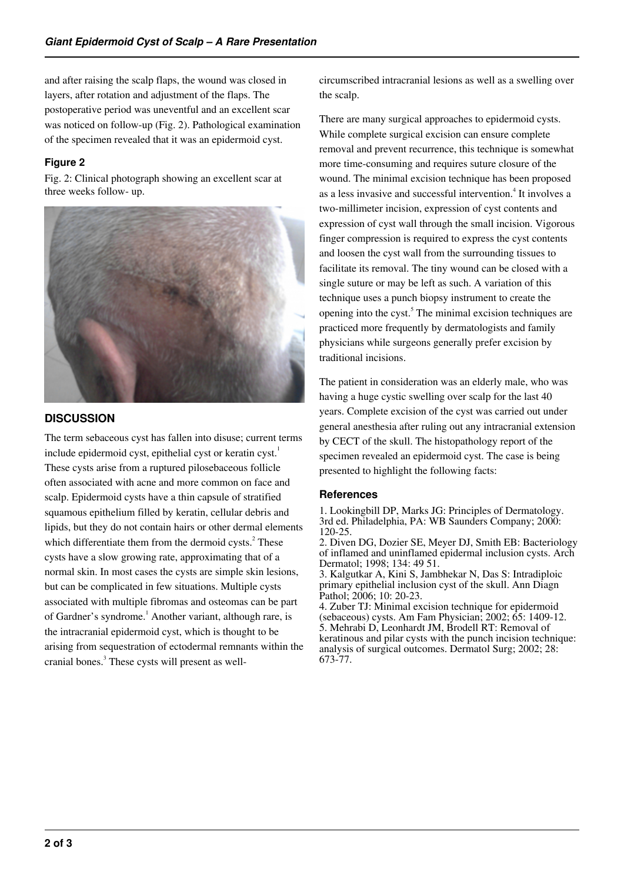and after raising the scalp flaps, the wound was closed in layers, after rotation and adjustment of the flaps. The postoperative period was uneventful and an excellent scar was noticed on follow-up (Fig. 2). Pathological examination of the specimen revealed that it was an epidermoid cyst.

# **Figure 2**

Fig. 2: Clinical photograph showing an excellent scar at three weeks follow- up.



# **DISCUSSION**

The term sebaceous cyst has fallen into disuse; current terms include epidermoid cyst, epithelial cyst or keratin cyst.<sup>1</sup> These cysts arise from a ruptured pilosebaceous follicle often associated with acne and more common on face and scalp. Epidermoid cysts have a thin capsule of stratified squamous epithelium filled by keratin, cellular debris and lipids, but they do not contain hairs or other dermal elements which differentiate them from the dermoid cysts. $2$  These cysts have a slow growing rate, approximating that of a normal skin. In most cases the cysts are simple skin lesions, but can be complicated in few situations. Multiple cysts associated with multiple fibromas and osteomas can be part of Gardner's syndrome.<sup>1</sup> Another variant, although rare, is the intracranial epidermoid cyst, which is thought to be arising from sequestration of ectodermal remnants within the cranial bones.<sup>3</sup> These cysts will present as wellcircumscribed intracranial lesions as well as a swelling over the scalp.

There are many surgical approaches to epidermoid cysts. While complete surgical excision can ensure complete removal and prevent recurrence, this technique is somewhat more time-consuming and requires suture closure of the wound. The minimal excision technique has been proposed as a less invasive and successful intervention.<sup>4</sup> It involves a two-millimeter incision, expression of cyst contents and expression of cyst wall through the small incision. Vigorous finger compression is required to express the cyst contents and loosen the cyst wall from the surrounding tissues to facilitate its removal. The tiny wound can be closed with a single suture or may be left as such. A variation of this technique uses a punch biopsy instrument to create the opening into the cyst.<sup>5</sup> The minimal excision techniques are practiced more frequently by dermatologists and family physicians while surgeons generally prefer excision by traditional incisions.

The patient in consideration was an elderly male, who was having a huge cystic swelling over scalp for the last 40 years. Complete excision of the cyst was carried out under general anesthesia after ruling out any intracranial extension by CECT of the skull. The histopathology report of the specimen revealed an epidermoid cyst. The case is being presented to highlight the following facts:

## **References**

1. Lookingbill DP, Marks JG: Principles of Dermatology. 3rd ed. Philadelphia, PA: WB Saunders Company; 2000: 120-25.

2. Diven DG, Dozier SE, Meyer DJ, Smith EB: Bacteriology of inflamed and uninflamed epidermal inclusion cysts. Arch Dermatol; 1998; 134: 49 51.

3. Kalgutkar A, Kini S, Jambhekar N, Das S: Intradiploic primary epithelial inclusion cyst of the skull. Ann Diagn Pathol; 2006; 10: 20-23.

4. Zuber TJ: Minimal excision technique for epidermoid (sebaceous) cysts. Am Fam Physician; 2002; 65: 1409-12. 5. Mehrabi D, Leonhardt JM, Brodell RT: Removal of keratinous and pilar cysts with the punch incision technique: analysis of surgical outcomes. Dermatol Surg; 2002; 28: 673-77.